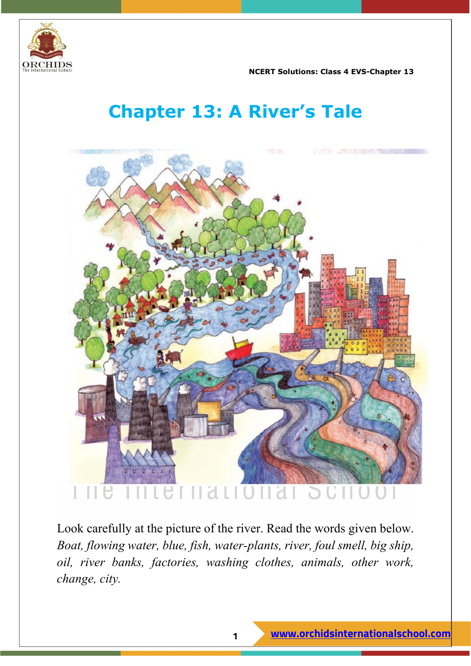

# **Chapter 13: A River's Tale**



Look carefully at the picture of the river. Read the words given below. *Boat, flowing water, blue, fish, water-plants, river, foul smell, big ship, oil, river banks, factories, washing clothes, animals, other work, change, city.*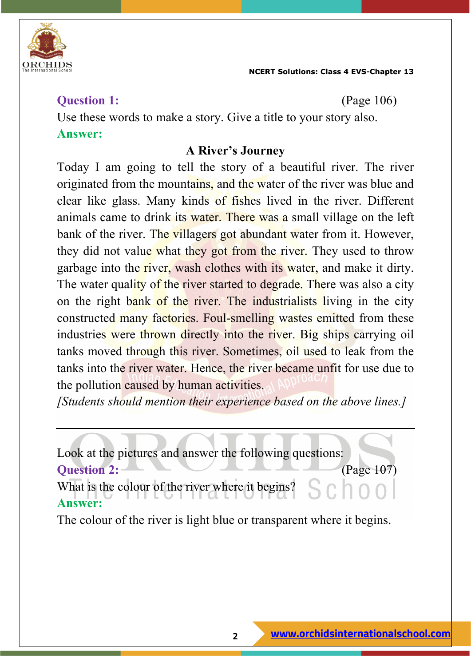

#### **Question 1:** (Page 106)

Use these words to make a story. Give a title to your story also. **Answer:**

#### **A River's Journey**

Today I am going to tell the story of a beautiful river. The river originated from the mountains, and the water of the river was blue and clear like glass. Many kinds of fishes lived in the river. Different animals came to drink its water. There was a small village on the left bank of the river. The villagers got abundant water from it. However, they did not value what they got from the river. They used to throw garbage into the river, wash clothes with its water, and make it dirty. The water quality of the river started to degrade. There was also a city on the right bank of the river. The industrialists living in the city constructed many factories. Foul-smelling wastes emitted from these industries were thrown directly into the river. Big ships carrying oil tanks moved through this river. Sometimes, oil used to leak from the tanks into the river water. Hence, the river became unfit for use due to the pollution caused by human activities.

*[Students should mention their experience based on the above lines.]*

Look at the pictures and answer the following questions: **Question 2:** (Page 107) What is the colour of the river where it begins? **Answer:**

The colour of the river is light blue or transparent where it begins.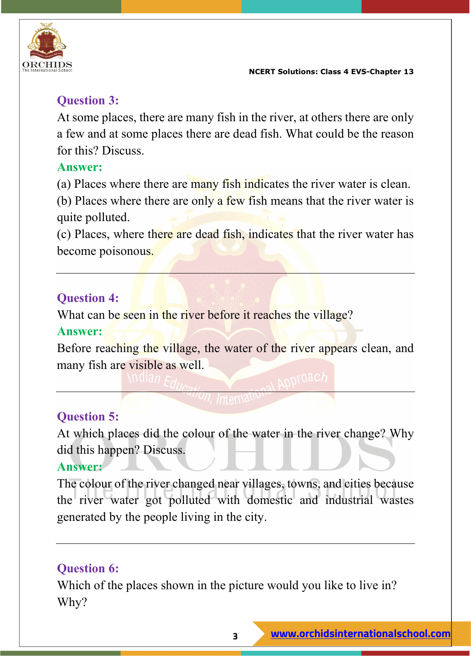

#### **Question 3:**

At some places, there are many fish in the river, at others there are only a few and at some places there are dead fish. What could be the reason for this? Discuss.

#### **Answer:**

(a) Places where there are many fish indicates the river water is clean.

(b) Places where there are only a few fish means that the river water is quite polluted.

(c) Places, where there are dead fish, indicates that the river water has become poisonous.

#### **Question 4:**

What can be seen in the river before it reaches the village?

#### **Answer:**

Before reaching the village, the water of the river appears clean, and many fish are visible as well.

#### **Question 5:**

At which places did the colour of the water in the river change? Why did this happen? Discuss.

#### **Answer:**

The colour of the river changed near villages, towns, and cities because the river water got polluted with domestic and industrial wastes generated by the people living in the city.

#### **Question 6:**

Which of the places shown in the picture would you like to live in? Why?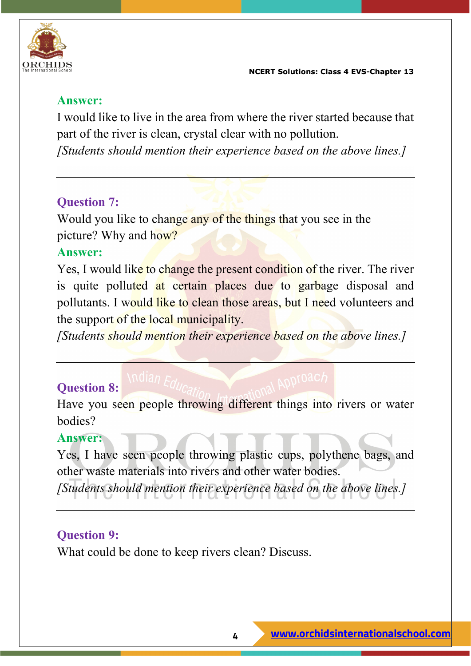

I would like to live in the area from where the river started because that part of the river is clean, crystal clear with no pollution.

*[Students should mention their experience based on the above lines.]*

#### **Question 7:**

Would you like to change any of the things that you see in the picture? Why and how?

#### **Answer:**

Yes, I would like to change the present condition of the river. The river is quite polluted at certain places due to garbage disposal and pollutants. I would like to clean those areas, but I need volunteers and the support of the local municipality.

*[Students should mention their experience based on the above lines.]*

#### **Question 8:**

Have you seen people throwing different things into rivers or water bodies?

#### **Answer:**

Yes, I have seen people throwing plastic cups, polythene bags, and other waste materials into rivers and other water bodies.

*[Students should mention their experience based on the above lines.]*

#### **Question 9:**

What could be done to keep rivers clean? Discuss.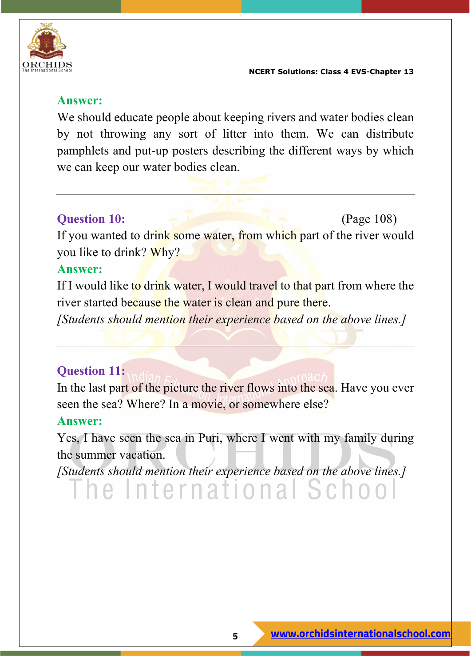

#### **Answer:**

We should educate people about keeping rivers and water bodies clean by not throwing any sort of litter into them. We can distribute pamphlets and put-up posters describing the different ways by which we can keep our water bodies clean.

#### **Question 10:** (Page 108)

If you wanted to drink some water, from which part of the river would you like to drink? Why?

#### **Answer:**

If I would like to drink water, I would travel to that part from where the river started because the water is clean and pure there.

*[Students should mention their experience based on the above lines.]*

#### **Question 11:**

In the last part of the picture the river flows into the sea. Have you ever seen the sea? Where? In a movie, or somewhere else?

#### **Answer:**

Yes, I have seen the sea in Puri, where I went with my family during the summer vacation.

*[Students should mention their experience based on the above lines.]*

The International Schoo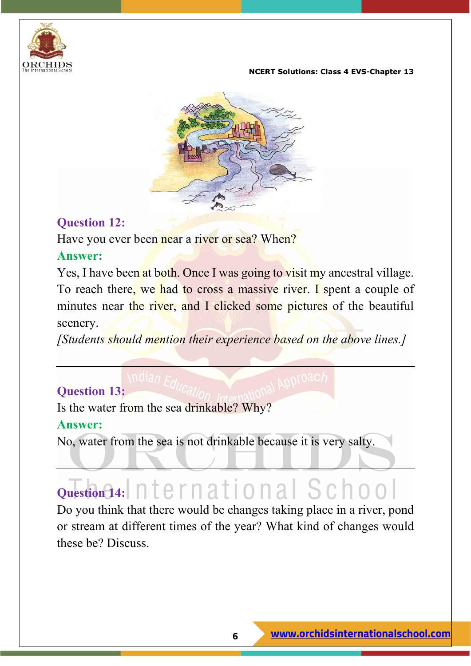



#### **Question 12:**

Have you ever been near a river or sea? When?

#### **Answer:**

Yes, I have been at both. Once I was going to visit my ancestral village. To reach there, we had to cross a massive river. I spent a couple of minutes near the river, and I clicked some pictures of the beautiful scenery.

*[Students should mention their experience based on the above lines.]*

### **Question 13:**

Is the water from the sea drinkable? Why?

#### **Answer:**

No, water from the sea is not drinkable because it is very salty.

# **Question 14:** nternational School

Do you think that there would be changes taking place in a river, pond or stream at different times of the year? What kind of changes would these be? Discuss.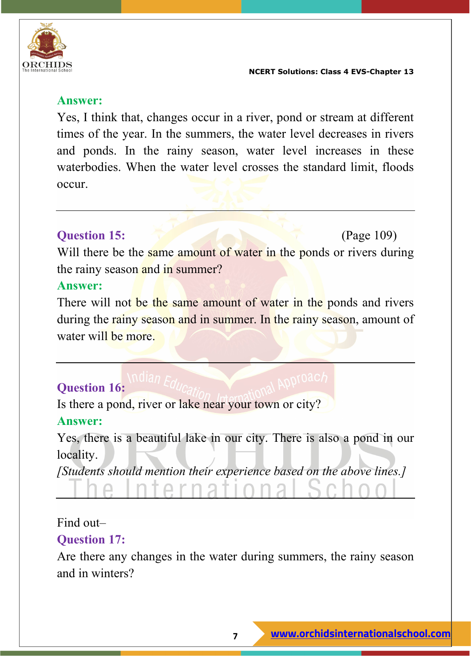

Yes, I think that, changes occur in a river, pond or stream at different times of the year. In the summers, the water level decreases in rivers and ponds. In the rainy season, water level increases in these waterbodies. When the water level crosses the standard limit, floods occur.

#### **Question 15:** (Page 109)

Will there be the same amount of water in the ponds or rivers during the rainy season and in summer?

#### **Answer:**

There will not be the same amount of water in the ponds and rivers during the rainy season and in summer. In the rainy season, amount of water will be more.

#### **Question 16:**

Is there a pond, river or lake near your town or city?

erna

#### **Answer:**

Yes, there is a beautiful lake in our city. There is also a pond in our locality.

*[Students should mention their experience based on the above lines.]*

#### Find out–

#### **Question 17:**

Are there any changes in the water during summers, the rainy season and in winters?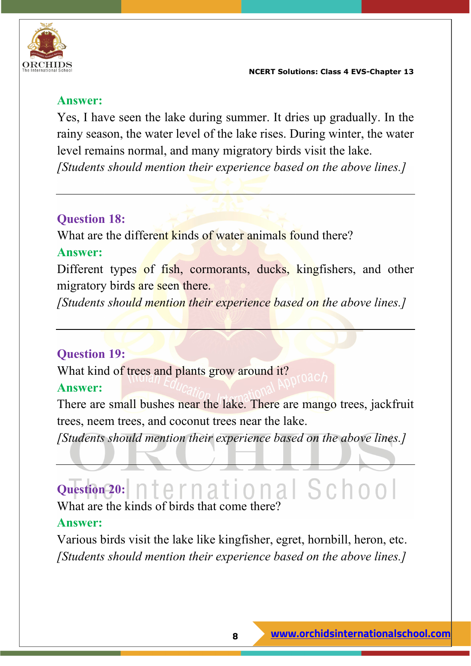

Yes, I have seen the lake during summer. It dries up gradually. In the rainy season, the water level of the lake rises. During winter, the water level remains normal, and many migratory birds visit the lake. *[Students should mention their experience based on the above lines.]*

#### **Question 18:**

What are the different kinds of water animals found there?

#### **Answer:**

Different types of fish, cormorants, ducks, kingfishers, and other migratory birds are seen there.

*[Students should mention their experience based on the above lines.]*

#### **Question 19:**

What kind of trees and plants grow around it?

#### **Answer:**

There are small bushes near the lake. There are mango trees, jackfruit trees, neem trees, and coconut trees near the lake.

*[Students should mention their experience based on the above lines.]*

### **Question 20:** What are the kinds of birds that come there

#### **Answer:**

Various birds visit the lake like kingfisher, egret, hornbill, heron, etc. *[Students should mention their experience based on the above lines.]*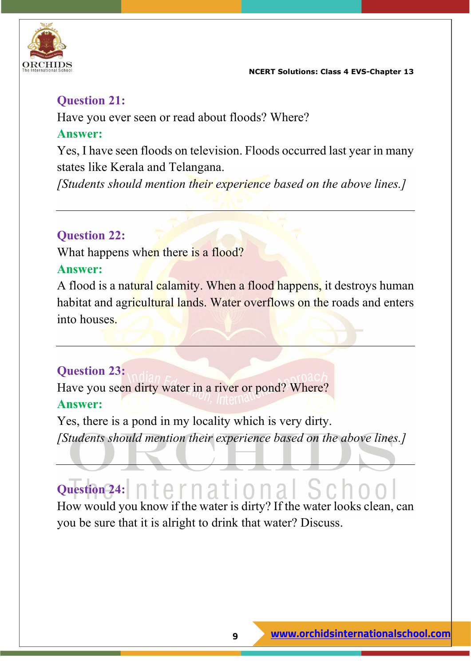



#### **Question 21:**

Have you ever seen or read about floods? Where?

#### **Answer:**

Yes, I have seen floods on television. Floods occurred last year in many states like Kerala and Telangana.

*[Students should mention their experience based on the above lines.]*

#### **Question 22:**

What happens when there is a flood?

#### **Answer:**

A flood is a natural calamity. When a flood happens, it destroys human habitat and agricultural lands. Water overflows on the roads and enters into houses.

#### **Question 23:**

Have you seen dirty water in a river or pond? Where? **Answer:**

Yes, there is a pond in my locality which is very dirty. *[Students should mention their experience based on the above lines.]*

# Question 24: nternational Sc.

How would you know if the water is dirty? If the water looks clean, can you be sure that it is alright to drink that water? Discuss.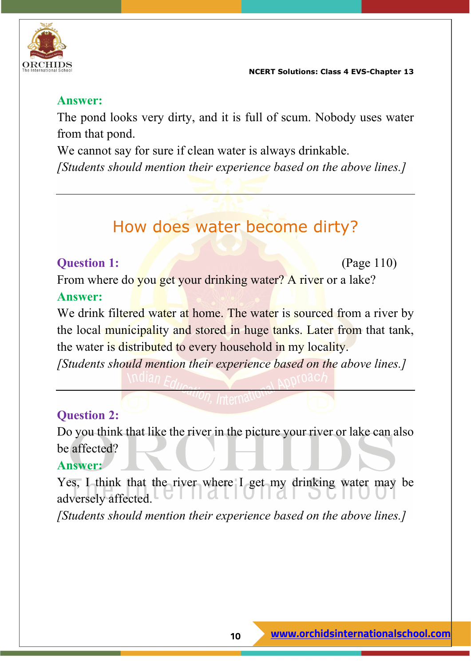

#### **Answer:**

The pond looks very dirty, and it is full of scum. Nobody uses water from that pond.

We cannot say for sure if clean water is always drinkable.

*[Students should mention their experience based on the above lines.]*

## How does water become dirty?

#### **Question 1:** (Page 110)

From where do you get your drinking water? A river or a lake? **Answer:**

We drink filtered water at home. The water is sourced from a river by the local municipality and stored in huge tanks. Later from that tank, the water is distributed to every household in my locality.

*[Students should mention their experience based on the above lines.]*

#### **Question 2:**

Do you think that like the river in the picture your river or lake can also be affected?

#### **Answer:**

Yes, I think that the river where I get my drinking water may be adversely affected.

*[Students should mention their experience based on the above lines.]*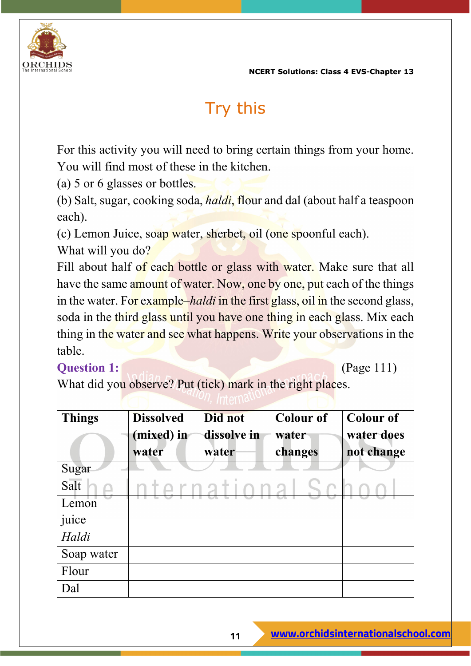

## Try this

For this activity you will need to bring certain things from your home. You will find most of these in the kitchen.

(a) 5 or 6 glasses or bottles.

(b) Salt, sugar, cooking soda, *haldi*, flour and dal (about half a teaspoon each).

(c) Lemon Juice, soap water, sherbet, oil (one spoonful each).

What will you do?

Fill about half of each bottle or glass with water. Make sure that all have the same amount of water. Now, one by one, put each of the things in the water. For example–*haldi* in the first glass, oil in the second glass, soda in the third glass until you have one thing in each glass. Mix each thing in the water and see what happens. Write your observations in the table.

#### **Question 1:** (Page 111)

What did you observe? Put (tick) mark in the right places.

| <b>Things</b> | <b>Dissolved</b> | Did not     | <b>Colour of</b> | <b>Colour of</b> |
|---------------|------------------|-------------|------------------|------------------|
|               | (mixed) in       | dissolve in | water            | water does       |
|               | water            | water       | changes          | not change       |
| Sugar         |                  |             |                  |                  |
| Salt          |                  |             |                  |                  |
| Lemon         |                  |             |                  |                  |
| juice         |                  |             |                  |                  |
| Haldi         |                  |             |                  |                  |
| Soap water    |                  |             |                  |                  |
| Flour         |                  |             |                  |                  |
| Dal           |                  |             |                  |                  |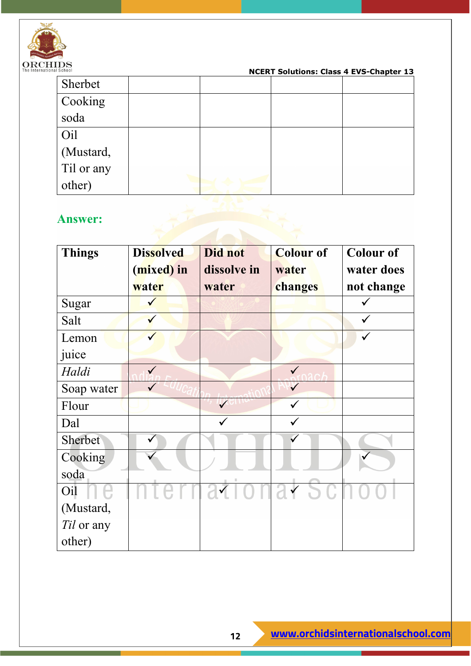

| School                  | <b>NCERT Solutions: Class 4 EVS-Chapter 13</b> |  |  |  |  |
|-------------------------|------------------------------------------------|--|--|--|--|
| Sherbet                 |                                                |  |  |  |  |
| Cooking                 |                                                |  |  |  |  |
| soda                    |                                                |  |  |  |  |
| Oil                     |                                                |  |  |  |  |
|                         |                                                |  |  |  |  |
| (Mustard,<br>Til or any |                                                |  |  |  |  |
| other)                  |                                                |  |  |  |  |

| <b>Answer:</b>  |                                         |                                 |                                      |                                              |
|-----------------|-----------------------------------------|---------------------------------|--------------------------------------|----------------------------------------------|
| <b>Things</b>   | <b>Dissolved</b><br>(mixed) in<br>water | Did not<br>dissolve in<br>water | <b>Colour of</b><br>water<br>changes | <b>Colour of</b><br>water does<br>not change |
| Sugar           |                                         |                                 |                                      |                                              |
| Salt            |                                         |                                 |                                      |                                              |
| Lemon           |                                         |                                 |                                      |                                              |
| juice           |                                         |                                 |                                      |                                              |
| Haldi           | $\checkmark$                            |                                 |                                      |                                              |
| Soap water      |                                         |                                 | $\checkmark$                         |                                              |
| Flour           |                                         |                                 |                                      |                                              |
| Dal             |                                         |                                 |                                      |                                              |
| Sherbet         |                                         |                                 |                                      |                                              |
| Cooking<br>soda |                                         |                                 |                                      |                                              |
| Oil             |                                         |                                 | aionaisc                             |                                              |
| (Mustard,       |                                         |                                 |                                      |                                              |
| Til or any      |                                         |                                 |                                      |                                              |
| other)          |                                         |                                 |                                      |                                              |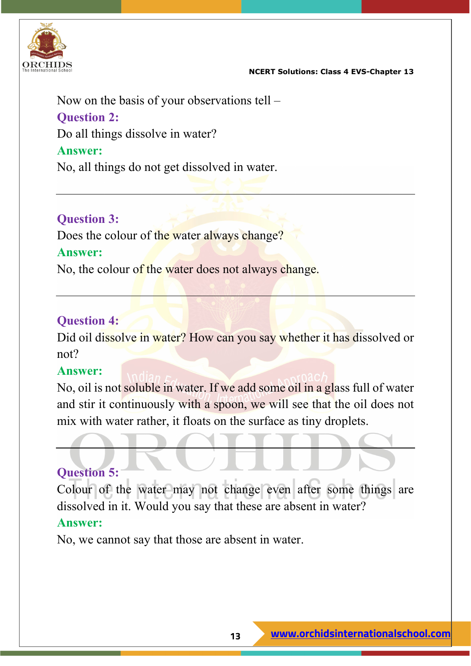

Now on the basis of your observations tell – **Question 2:** Do all things dissolve in water? **Answer:** No, all things do not get dissolved in water.

#### **Question 3:**

Does the colour of the water always change?

#### **Answer:**

No, the colour of the water does not always change.

#### **Question 4:**

Did oil dissolve in water? How can you say whether it has dissolved or not?

#### **Answer:**

No, oil is not soluble in water. If we add some oil in a glass full of water and stir it continuously with a spoon, we will see that the oil does not mix with water rather, it floats on the surface as tiny droplets.

#### **Question 5:**

Colour of the water may not change even after some things are dissolved in it. Would you say that these are absent in water?

#### **Answer:**

No, we cannot say that those are absent in water.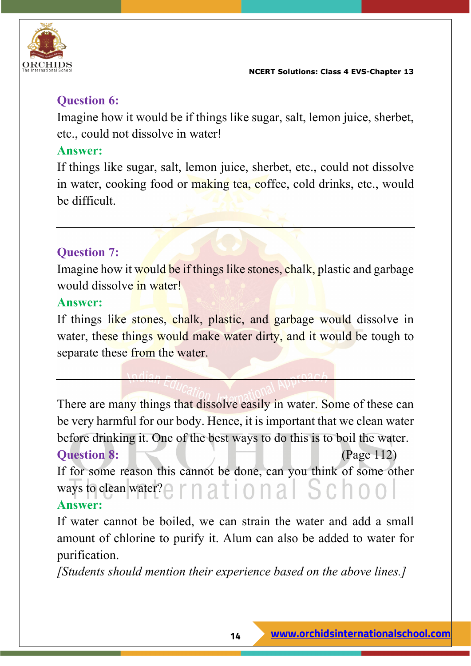

#### **Question 6:**

Imagine how it would be if things like sugar, salt, lemon juice, sherbet, etc., could not dissolve in water!

#### **Answer:**

If things like sugar, salt, lemon juice, sherbet, etc., could not dissolve in water, cooking food or making tea, coffee, cold drinks, etc., would be difficult.

#### **Question 7:**

Imagine how it would be if things like stones, chalk, plastic and garbage would dissolve in water!

#### **Answer:**

If things like stones, chalk, plastic, and garbage would dissolve in water, these things would make water dirty, and it would be tough to separate these from the water.

There are many things that dissolve easily in water. Some of these can be very harmful for our body. Hence, it is important that we clean water before drinking it. One of the best ways to do this is to boil the water. **Question 8:** (Page 112)

If for some reason this cannot be done, can you think of some other ways to clean water? $\bigcap$   $\bigcap$   $\bigcap$   $\bigcap$   $\bigcap$   $\bigcap$   $\bigcap$   $\bigcap$   $\bigcap$   $\bigcap$   $\bigcap$   $\bigcap$   $\bigcap$ **Answer:**

If water cannot be boiled, we can strain the water and add a small amount of chlorine to purify it. Alum can also be added to water for purification.

*[Students should mention their experience based on the above lines.]*